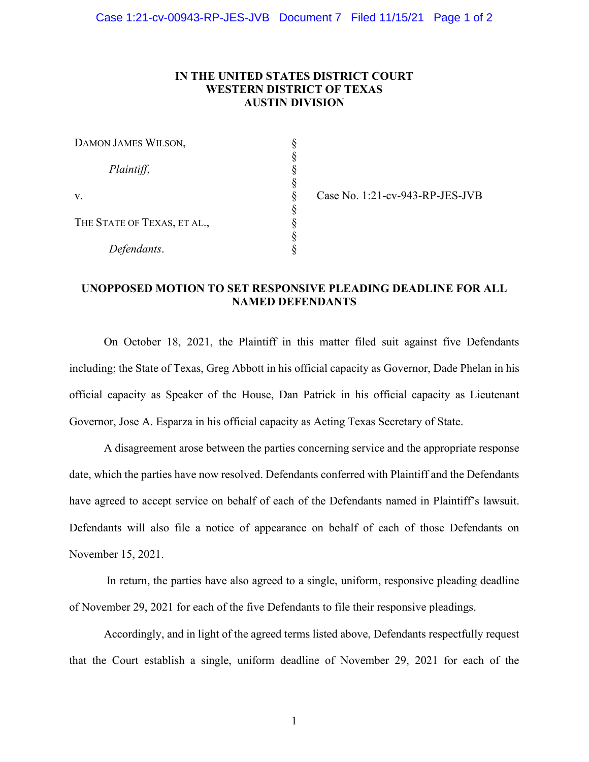#### **IN THE UNITED STATES DISTRICT COURT WESTERN DISTRICT OF TEXAS AUSTIN DIVISION**

| DAMON JAMES WILSON,         |  |
|-----------------------------|--|
|                             |  |
| Plaintiff,                  |  |
|                             |  |
| v.                          |  |
|                             |  |
| THE STATE OF TEXAS, ET AL., |  |
|                             |  |
| Defendants.                 |  |

Case No. 1:21-cv-943-RP-JES-JVB

## **UNOPPOSED MOTION TO SET RESPONSIVE PLEADING DEADLINE FOR ALL NAMED DEFENDANTS**

On October 18, 2021, the Plaintiff in this matter filed suit against five Defendants including; the State of Texas, Greg Abbott in his official capacity as Governor, Dade Phelan in his official capacity as Speaker of the House, Dan Patrick in his official capacity as Lieutenant Governor, Jose A. Esparza in his official capacity as Acting Texas Secretary of State.

A disagreement arose between the parties concerning service and the appropriate response date, which the parties have now resolved. Defendants conferred with Plaintiff and the Defendants have agreed to accept service on behalf of each of the Defendants named in Plaintiff's lawsuit. Defendants will also file a notice of appearance on behalf of each of those Defendants on November 15, 2021.

In return, the parties have also agreed to a single, uniform, responsive pleading deadline of November 29, 2021 for each of the five Defendants to file their responsive pleadings.

Accordingly, and in light of the agreed terms listed above, Defendants respectfully request that the Court establish a single, uniform deadline of November 29, 2021 for each of the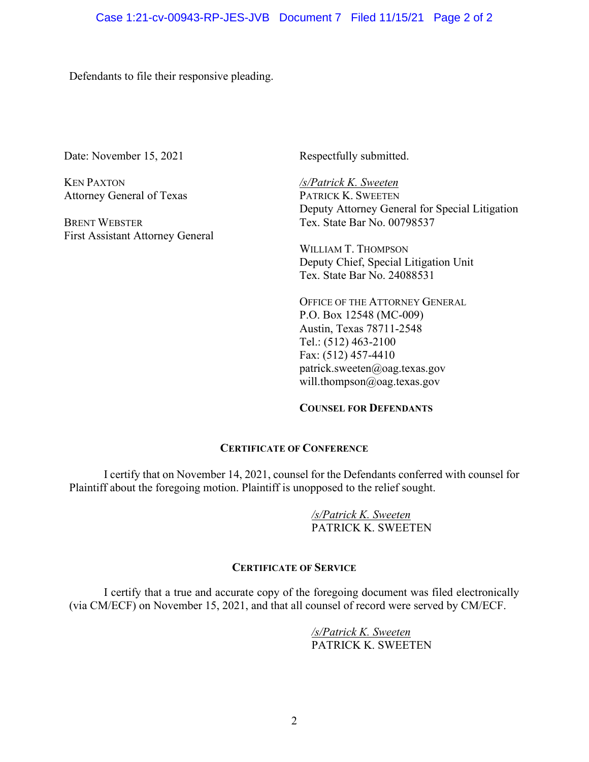Defendants to file their responsive pleading.

Date: November 15, 2021

KEN PAXTON Attorney General of Texas

BRENT WEBSTER First Assistant Attorney General Respectfully submitted.

*/s/Patrick K. Sweeten*  PATRICK K. SWEETEN Deputy Attorney General for Special Litigation Tex. State Bar No. 00798537

WILLIAM T. THOMPSON Deputy Chief, Special Litigation Unit Tex. State Bar No. 24088531

OFFICE OF THE ATTORNEY GENERAL P.O. Box 12548 (MC-009) Austin, Texas 78711-2548 Tel.: (512) 463-2100 Fax: (512) 457-4410 patrick.sweeten@oag.texas.gov will.thompson@oag.texas.gov

#### **COUNSEL FOR DEFENDANTS**

#### **CERTIFICATE OF CONFERENCE**

I certify that on November 14, 2021, counsel for the Defendants conferred with counsel for Plaintiff about the foregoing motion. Plaintiff is unopposed to the relief sought.

> */s/Patrick K. Sweeten* PATRICK K. SWEETEN

### **CERTIFICATE OF SERVICE**

I certify that a true and accurate copy of the foregoing document was filed electronically (via CM/ECF) on November 15, 2021, and that all counsel of record were served by CM/ECF.

> */s/Patrick K. Sweeten* PATRICK K. SWEETEN